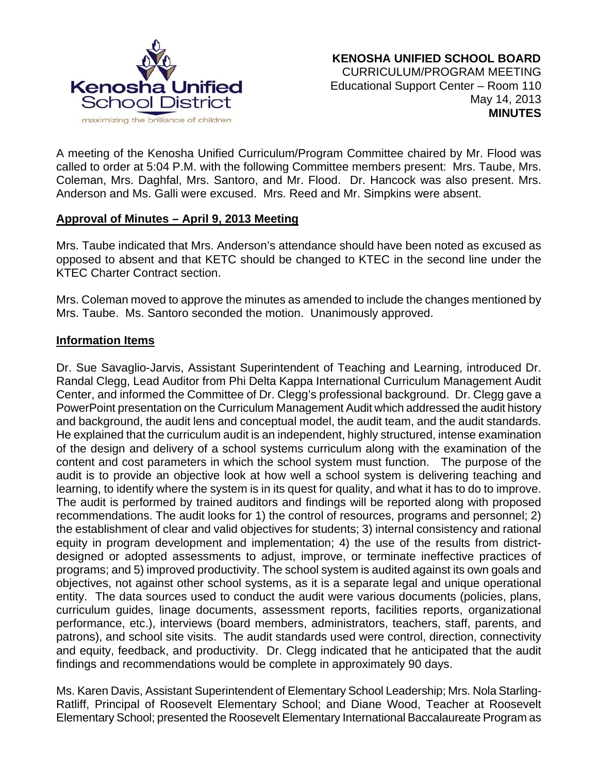

A meeting of the Kenosha Unified Curriculum/Program Committee chaired by Mr. Flood was called to order at 5:04 P.M. with the following Committee members present: Mrs. Taube, Mrs. Coleman, Mrs. Daghfal, Mrs. Santoro, and Mr. Flood. Dr. Hancock was also present. Mrs. Anderson and Ms. Galli were excused. Mrs. Reed and Mr. Simpkins were absent.

## **Approval of Minutes – April 9, 2013 Meeting**

Mrs. Taube indicated that Mrs. Anderson's attendance should have been noted as excused as opposed to absent and that KETC should be changed to KTEC in the second line under the KTEC Charter Contract section.

Mrs. Coleman moved to approve the minutes as amended to include the changes mentioned by Mrs. Taube. Ms. Santoro seconded the motion. Unanimously approved.

### **Information Items**

Dr. Sue Savaglio-Jarvis, Assistant Superintendent of Teaching and Learning, introduced Dr. Randal Clegg, Lead Auditor from Phi Delta Kappa International Curriculum Management Audit Center, and informed the Committee of Dr. Clegg's professional background. Dr. Clegg gave a PowerPoint presentation on the Curriculum Management Audit which addressed the audit history and background, the audit lens and conceptual model, the audit team, and the audit standards. He explained that the curriculum audit is an independent, highly structured, intense examination of the design and delivery of a school systems curriculum along with the examination of the content and cost parameters in which the school system must function. The purpose of the audit is to provide an objective look at how well a school system is delivering teaching and learning, to identify where the system is in its quest for quality, and what it has to do to improve. The audit is performed by trained auditors and findings will be reported along with proposed recommendations. The audit looks for 1) the control of resources, programs and personnel; 2) the establishment of clear and valid objectives for students; 3) internal consistency and rational equity in program development and implementation; 4) the use of the results from districtdesigned or adopted assessments to adjust, improve, or terminate ineffective practices of programs; and 5) improved productivity. The school system is audited against its own goals and objectives, not against other school systems, as it is a separate legal and unique operational entity. The data sources used to conduct the audit were various documents (policies, plans, curriculum guides, linage documents, assessment reports, facilities reports, organizational performance, etc.), interviews (board members, administrators, teachers, staff, parents, and patrons), and school site visits. The audit standards used were control, direction, connectivity and equity, feedback, and productivity. Dr. Clegg indicated that he anticipated that the audit findings and recommendations would be complete in approximately 90 days.

Ms. Karen Davis, Assistant Superintendent of Elementary School Leadership; Mrs. Nola Starling-Ratliff, Principal of Roosevelt Elementary School; and Diane Wood, Teacher at Roosevelt Elementary School; presented the Roosevelt Elementary International Baccalaureate Program as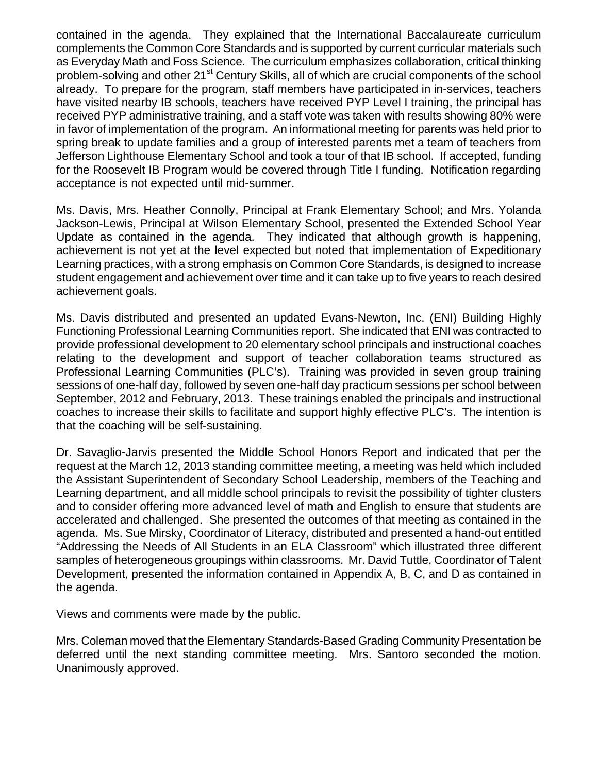contained in the agenda. They explained that the International Baccalaureate curriculum complements the Common Core Standards and is supported by current curricular materials such as Everyday Math and Foss Science. The curriculum emphasizes collaboration, critical thinking problem-solving and other 21<sup>st</sup> Century Skills, all of which are crucial components of the school already. To prepare for the program, staff members have participated in in-services, teachers have visited nearby IB schools, teachers have received PYP Level I training, the principal has received PYP administrative training, and a staff vote was taken with results showing 80% were in favor of implementation of the program. An informational meeting for parents was held prior to spring break to update families and a group of interested parents met a team of teachers from Jefferson Lighthouse Elementary School and took a tour of that IB school. If accepted, funding for the Roosevelt IB Program would be covered through Title I funding. Notification regarding acceptance is not expected until mid-summer.

Ms. Davis, Mrs. Heather Connolly, Principal at Frank Elementary School; and Mrs. Yolanda Jackson-Lewis, Principal at Wilson Elementary School, presented the Extended School Year Update as contained in the agenda. They indicated that although growth is happening, achievement is not yet at the level expected but noted that implementation of Expeditionary Learning practices, with a strong emphasis on Common Core Standards, is designed to increase student engagement and achievement over time and it can take up to five years to reach desired achievement goals.

Ms. Davis distributed and presented an updated Evans-Newton, Inc. (ENI) Building Highly Functioning Professional Learning Communities report. She indicated that ENI was contracted to provide professional development to 20 elementary school principals and instructional coaches relating to the development and support of teacher collaboration teams structured as Professional Learning Communities (PLC's). Training was provided in seven group training sessions of one-half day, followed by seven one-half day practicum sessions per school between September, 2012 and February, 2013. These trainings enabled the principals and instructional coaches to increase their skills to facilitate and support highly effective PLC's. The intention is that the coaching will be self-sustaining.

Dr. Savaglio-Jarvis presented the Middle School Honors Report and indicated that per the request at the March 12, 2013 standing committee meeting, a meeting was held which included the Assistant Superintendent of Secondary School Leadership, members of the Teaching and Learning department, and all middle school principals to revisit the possibility of tighter clusters and to consider offering more advanced level of math and English to ensure that students are accelerated and challenged. She presented the outcomes of that meeting as contained in the agenda. Ms. Sue Mirsky, Coordinator of Literacy, distributed and presented a hand-out entitled "Addressing the Needs of All Students in an ELA Classroom" which illustrated three different samples of heterogeneous groupings within classrooms. Mr. David Tuttle, Coordinator of Talent Development, presented the information contained in Appendix A, B, C, and D as contained in the agenda.

Views and comments were made by the public.

Mrs. Coleman moved that the Elementary Standards-Based Grading Community Presentation be deferred until the next standing committee meeting. Mrs. Santoro seconded the motion. Unanimously approved.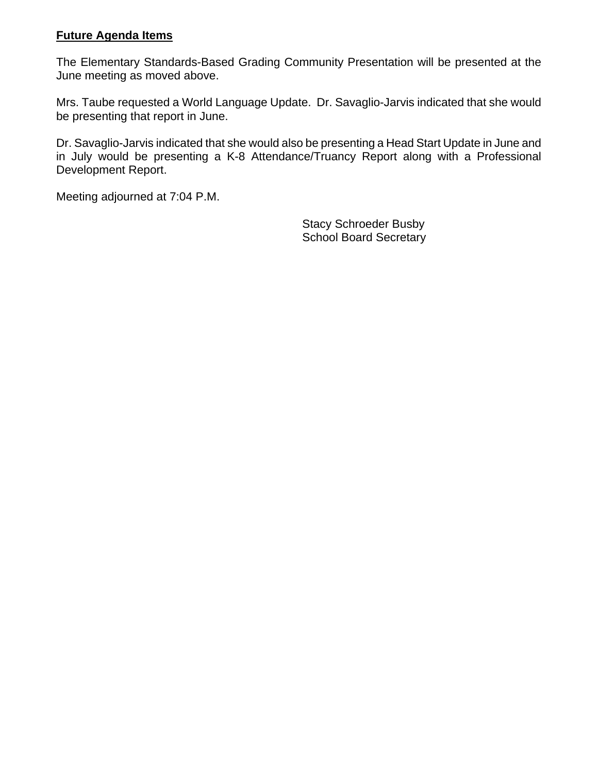# **Future Agenda Items**

The Elementary Standards-Based Grading Community Presentation will be presented at the June meeting as moved above.

Mrs. Taube requested a World Language Update. Dr. Savaglio-Jarvis indicated that she would be presenting that report in June.

Dr. Savaglio-Jarvis indicated that she would also be presenting a Head Start Update in June and in July would be presenting a K-8 Attendance/Truancy Report along with a Professional Development Report.

Meeting adjourned at 7:04 P.M.

 Stacy Schroeder Busby School Board Secretary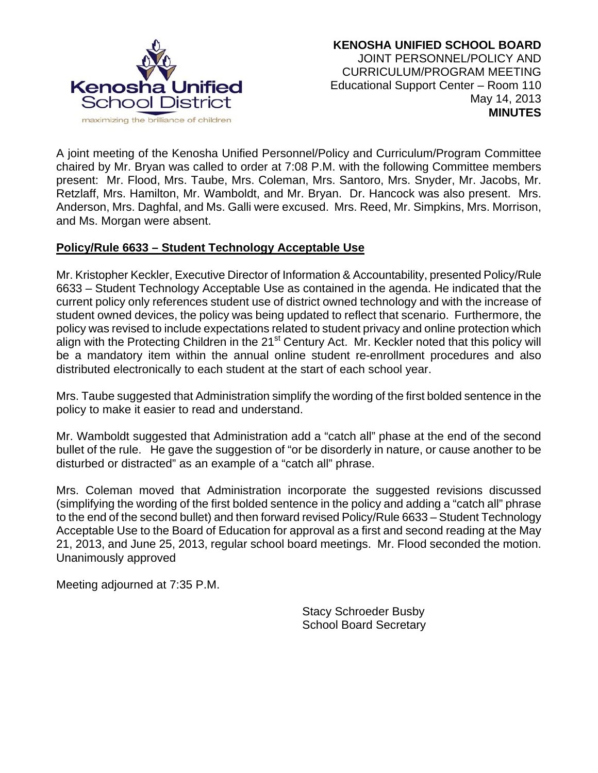

A joint meeting of the Kenosha Unified Personnel/Policy and Curriculum/Program Committee chaired by Mr. Bryan was called to order at 7:08 P.M. with the following Committee members present: Mr. Flood, Mrs. Taube, Mrs. Coleman, Mrs. Santoro, Mrs. Snyder, Mr. Jacobs, Mr. Retzlaff, Mrs. Hamilton, Mr. Wamboldt, and Mr. Bryan. Dr. Hancock was also present. Mrs. Anderson, Mrs. Daghfal, and Ms. Galli were excused. Mrs. Reed, Mr. Simpkins, Mrs. Morrison, and Ms. Morgan were absent.

# **Policy/Rule 6633 – Student Technology Acceptable Use**

Mr. Kristopher Keckler, Executive Director of Information & Accountability, presented Policy/Rule 6633 – Student Technology Acceptable Use as contained in the agenda. He indicated that the current policy only references student use of district owned technology and with the increase of student owned devices, the policy was being updated to reflect that scenario. Furthermore, the policy was revised to include expectations related to student privacy and online protection which align with the Protecting Children in the 21<sup>st</sup> Century Act. Mr. Keckler noted that this policy will be a mandatory item within the annual online student re-enrollment procedures and also distributed electronically to each student at the start of each school year.

Mrs. Taube suggested that Administration simplify the wording of the first bolded sentence in the policy to make it easier to read and understand.

Mr. Wamboldt suggested that Administration add a "catch all" phase at the end of the second bullet of the rule. He gave the suggestion of "or be disorderly in nature, or cause another to be disturbed or distracted" as an example of a "catch all" phrase.

Mrs. Coleman moved that Administration incorporate the suggested revisions discussed (simplifying the wording of the first bolded sentence in the policy and adding a "catch all" phrase to the end of the second bullet) and then forward revised Policy/Rule 6633 – Student Technology Acceptable Use to the Board of Education for approval as a first and second reading at the May 21, 2013, and June 25, 2013, regular school board meetings. Mr. Flood seconded the motion. Unanimously approved

Meeting adjourned at 7:35 P.M.

Stacy Schroeder Busby School Board Secretary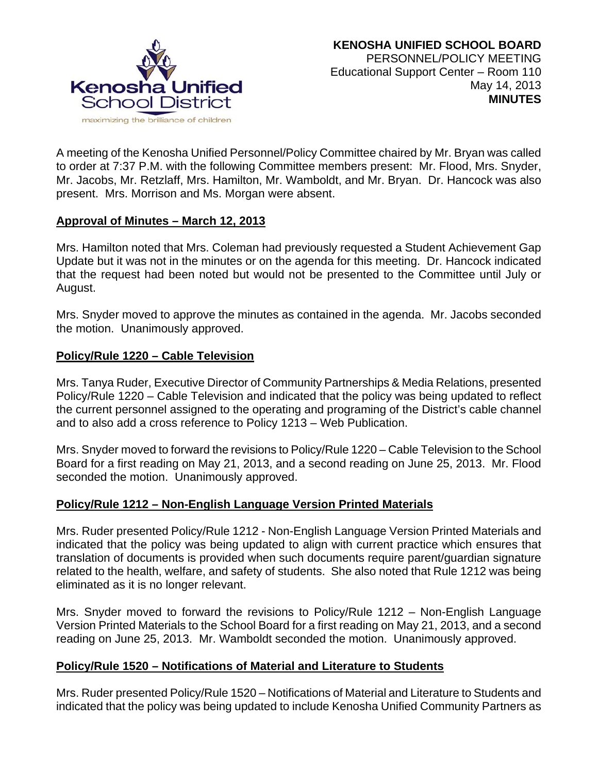

A meeting of the Kenosha Unified Personnel/Policy Committee chaired by Mr. Bryan was called to order at 7:37 P.M. with the following Committee members present: Mr. Flood, Mrs. Snyder, Mr. Jacobs, Mr. Retzlaff, Mrs. Hamilton, Mr. Wamboldt, and Mr. Bryan. Dr. Hancock was also present. Mrs. Morrison and Ms. Morgan were absent.

# **Approval of Minutes – March 12, 2013**

Mrs. Hamilton noted that Mrs. Coleman had previously requested a Student Achievement Gap Update but it was not in the minutes or on the agenda for this meeting. Dr. Hancock indicated that the request had been noted but would not be presented to the Committee until July or August.

Mrs. Snyder moved to approve the minutes as contained in the agenda. Mr. Jacobs seconded the motion. Unanimously approved.

# **Policy/Rule 1220 – Cable Television**

Mrs. Tanya Ruder, Executive Director of Community Partnerships & Media Relations, presented Policy/Rule 1220 – Cable Television and indicated that the policy was being updated to reflect the current personnel assigned to the operating and programing of the District's cable channel and to also add a cross reference to Policy 1213 – Web Publication.

Mrs. Snyder moved to forward the revisions to Policy/Rule 1220 – Cable Television to the School Board for a first reading on May 21, 2013, and a second reading on June 25, 2013. Mr. Flood seconded the motion. Unanimously approved.

## **Policy/Rule 1212 – Non-English Language Version Printed Materials**

Mrs. Ruder presented Policy/Rule 1212 - Non-English Language Version Printed Materials and indicated that the policy was being updated to align with current practice which ensures that translation of documents is provided when such documents require parent/guardian signature related to the health, welfare, and safety of students. She also noted that Rule 1212 was being eliminated as it is no longer relevant.

Mrs. Snyder moved to forward the revisions to Policy/Rule 1212 – Non-English Language Version Printed Materials to the School Board for a first reading on May 21, 2013, and a second reading on June 25, 2013. Mr. Wamboldt seconded the motion. Unanimously approved.

# **Policy/Rule 1520 – Notifications of Material and Literature to Students**

Mrs. Ruder presented Policy/Rule 1520 – Notifications of Material and Literature to Students and indicated that the policy was being updated to include Kenosha Unified Community Partners as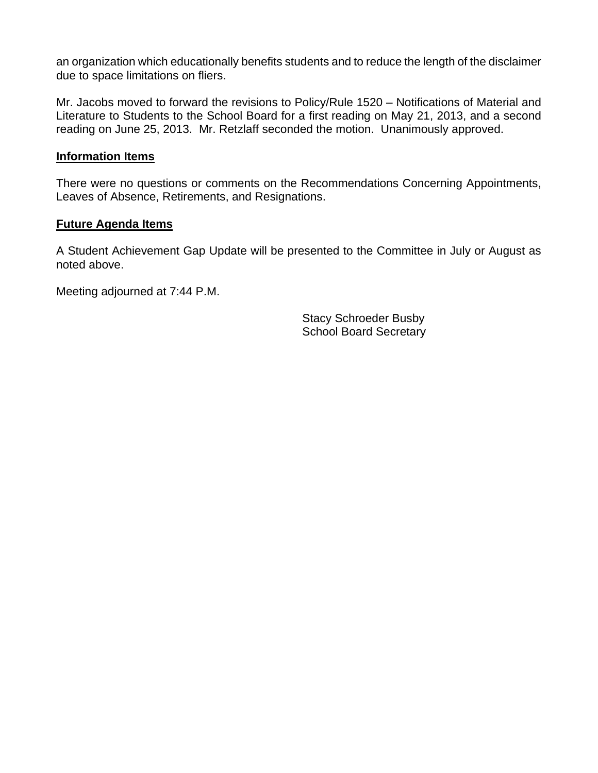an organization which educationally benefits students and to reduce the length of the disclaimer due to space limitations on fliers.

Mr. Jacobs moved to forward the revisions to Policy/Rule 1520 – Notifications of Material and Literature to Students to the School Board for a first reading on May 21, 2013, and a second reading on June 25, 2013. Mr. Retzlaff seconded the motion. Unanimously approved.

### **Information Items**

There were no questions or comments on the Recommendations Concerning Appointments, Leaves of Absence, Retirements, and Resignations.

### **Future Agenda Items**

A Student Achievement Gap Update will be presented to the Committee in July or August as noted above.

Meeting adjourned at 7:44 P.M.

Stacy Schroeder Busby School Board Secretary